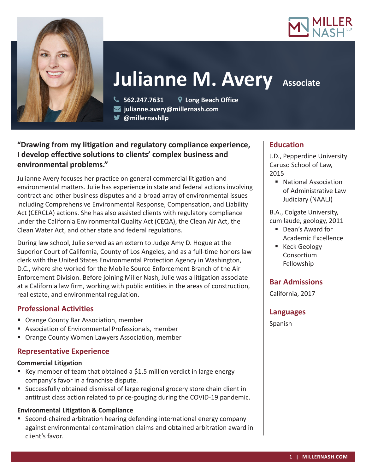



# **Julianne M. Avery Associate**

 **562.247.7631 Long Beach Office julianne.avery@millernash.com** 

**@millernashllp** 

## **"Drawing from my litigation and regulatory compliance experience, I develop effective solutions to clients' complex business and environmental problems."**

Julianne Avery focuses her practice on general commercial litigation and environmental matters. Julie has experience in state and federal actions involving contract and other business disputes and a broad array of environmental issues including Comprehensive Environmental Response, Compensation, and Liability Act (CERCLA) actions. She has also assisted clients with regulatory compliance under the California Environmental Quality Act (CEQA), the Clean Air Act, the Clean Water Act, and other state and federal regulations.

During law school, Julie served as an extern to Judge Amy D. Hogue at the Superior Court of California, County of Los Angeles, and as a full-time honors law clerk with the United States Environmental Protection Agency in Washington, D.C., where she worked for the Mobile Source Enforcement Branch of the Air Enforcement Division. Before joining Miller Nash, Julie was a litigation associate at a California law firm, working with public entities in the areas of construction, real estate, and environmental regulation.

### **Professional Activities**

- Orange County Bar Association, member
- Association of Environmental Professionals, member
- **Drange County Women Lawyers Association, member**

## **Representative Experience**

### **Commercial Litigation**

- E Key member of team that obtained a \$1.5 million verdict in large energy company's favor in a franchise dispute.
- Successfully obtained dismissal of large regional grocery store chain client in antitrust class action related to price-gouging during the COVID-19 pandemic.

### **Environmental Litigation & Compliance**

■ Second-chaired arbitration hearing defending international energy company against environmental contamination claims and obtained arbitration award in client's favor.

### **Education**

J.D., Pepperdine University Caruso School of Law, 2015

■ National Association of Administrative Law Judiciary (NAALJ)

B.A., Colgate University, cum laude, geology, 2011

- Dean's Award for Academic Excellence
- Keck Geology Consortium Fellowship

## **Bar Admissions**

California, 2017

### **Languages**

Spanish